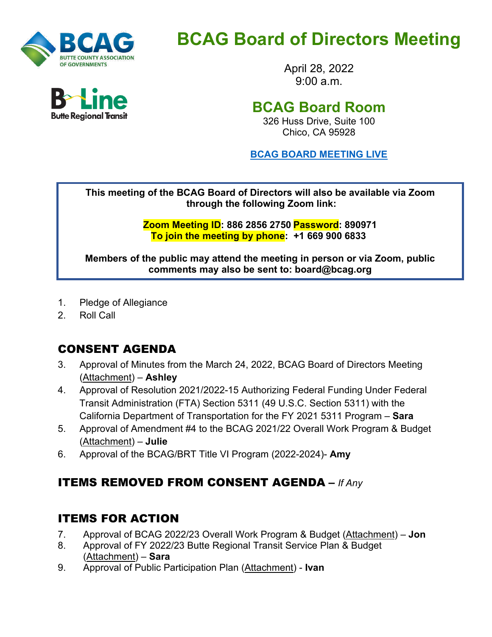

**Butte Regional Transit** 

# **BCAG Board of Directors Meeting**

April 28, 2022  $9.00 a m$ 

# **BCAG Board Room**

326 Huss Drive, Suite 100 Chico, CA 95928

**BCAG BOARD [MEETING](https://us02web.zoom.us/j/88628562750?pwd=YVR4dWtWcWs1aHVNdy9BUTVqbHorUT09) LIVE**

**This meeting of the BCAG Board of Directors will also be available via Zoom through the following Zoom link:**

> **Zoom Meeting ID: 886 2856 2750 Password: 890971 To join the meeting by phone: +1 669 900 6833**

**Members of the public may attend the meeting in person or via Zoom, public comments may also be sent to: board@bcag.org**

- 1. Pledge of Allegiance
- 2. Roll Call

## CONSENT AGENDA

- 3. Approval of Minutes from the March 24, 2022, BCAG Board of Directors Meeting (Attachment) – **Ashley**
- 4. Approval of Resolution 2021/2022-15 Authorizing Federal Funding Under Federal Transit Administration (FTA) Section 5311 (49 U.S.C. Section 5311) with the California Department of Transportation for the FY 2021 5311 Program – **Sara**
- 5. Approval of Amendment #4 to the BCAG 2021/22 Overall Work Program & Budget (Attachment) – **Julie**
- 6. Approval of the BCAG/BRT Title VI Program (2022-2024)- **Amy**

## ITEMS REMOVED FROM CONSENT AGENDA **–** *If Any*

#### ITEMS FOR ACTION

- 7. Approval of BCAG 2022/23 Overall Work Program & Budget (Attachment) **Jon**
- 8. Approval of FY 2022/23 Butte Regional Transit Service Plan & Budget (Attachment) – **Sara**
- 9. Approval of Public Participation Plan (Attachment) **Ivan**